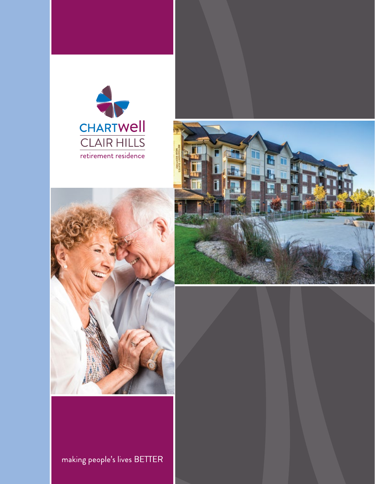





making people's lives BETTER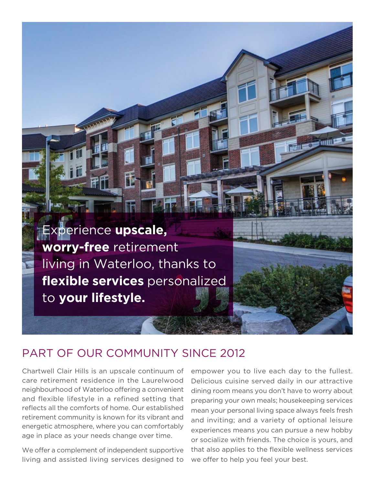Experience **upscale, worry-free** retirement living in Waterloo, thanks to **flexible services** personalized to **your lifestyle.** 

### PART OF OUR COMMUNITY SINCE 2012

Chartwell Clair Hills is an upscale continuum of care retirement residence in the Laurelwood neighbourhood of Waterloo offering a convenient and flexible lifestyle in a refined setting that reflects all the comforts of home. Our established retirement community is known for its vibrant and energetic atmosphere, where you can comfortably age in place as your needs change over time.

We offer a complement of independent supportive living and assisted living services designed to

empower you to live each day to the fullest. Delicious cuisine served daily in our attractive dining room means you don't have to worry about preparing your own meals; housekeeping services mean your personal living space always feels fresh and inviting; and a variety of optional leisure experiences means you can pursue a new hobby or socialize with friends. The choice is yours, and that also applies to the flexible wellness services we offer to help you feel your best.

**MANUFACTURE**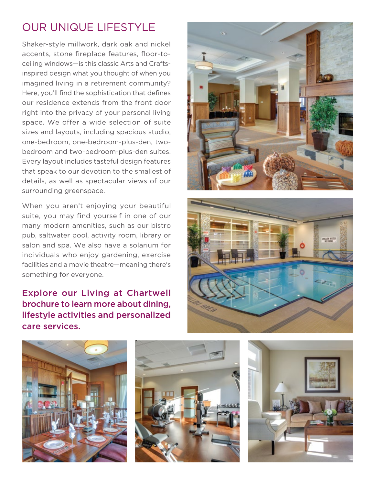# OUR UNIQUE LIFESTYLE

Shaker-style millwork, dark oak and nickel accents, stone fireplace features, floor-toceiling windows—is this classic Arts and Craftsinspired design what you thought of when you imagined living in a retirement community? Here, you'll find the sophistication that defines our residence extends from the front door right into the privacy of your personal living space. We offer a wide selection of suite sizes and layouts, including spacious studio, one-bedroom, one-bedroom-plus-den, twobedroom and two-bedroom-plus-den suites. Every layout includes tasteful design features that speak to our devotion to the smallest of details, as well as spectacular views of our surrounding greenspace.

When you aren't enjoying your beautiful suite, you may find yourself in one of our many modern amenities, such as our bistro pub, saltwater pool, activity room, library or salon and spa. We also have a solarium for individuals who enjoy gardening, exercise facilities and a movie theatre—meaning there's something for everyone.

Explore our Living at Chartwell brochure to learn more about dining, lifestyle activities and personalized care services.









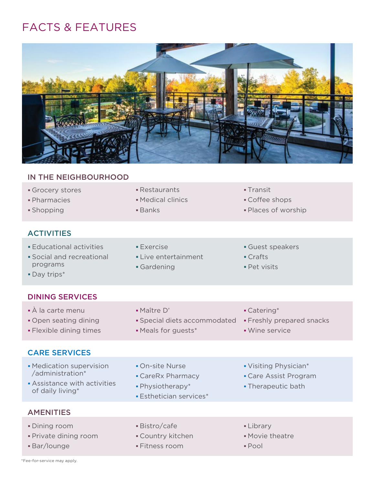# FACTS & FEATURES



#### IN THE NEIGHBOURHOOD

- Grocery stores Restaurants Transit
- **Pharmacies Medical clinics** Medical clinics Coffee shops
- 

#### **ACTIVITIES**

- 
- programs **Gardening Community** Cardening **Pet visits**
- Day trips\*
- 
- 
- 
- 
- 
- **Shopping Community Shopping Community** Banks **Community Banks** Places of worship
- Educational activities Exercise Exercise Guest speakers **Social and recreational Community Crafts Crafts** 
	-
- 
- 
- 
- DINING SERVICES A la carte menu Maître D' Catering\* • Open seating dining **Special diets accommodated • Freshly prepared snacks** Flexible dining times Meals for guests\* Wine service

### CARE SERVICES

- Medication supervision On-site Nurse Visiting Physician\* /administration\* CareRx Pharmacy Care Assist Program
- Assistance with activities **a** Physiotherapy\* **Therapeutic bath** of daily living **\* Esthetician** services **\***
- 
- -
	-
- 
- 
- 
- 

- **AMENITIES**
- **Dining room Bistro/cafe Communist Property Library Communist Property** Bistro/cafe
- Private dining room Country kitchen Movie theatre
- 
- 
- 
- **Bar/lounge Fitness room Bar/lounge Pool**
- 
- 
-